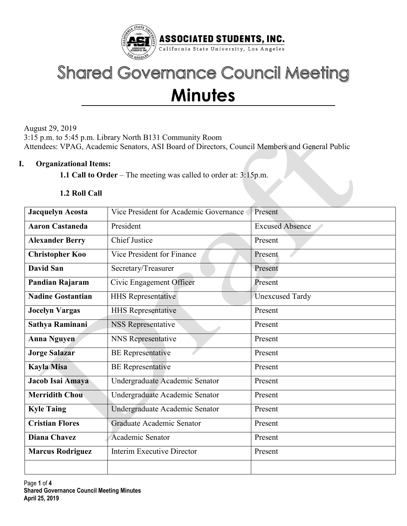

# **Shared Governance Council Meeting Minutes**

August 29, 2019 3:15 p.m. to 5:45 p.m. Library North B131 Community Room Attendees: VPAG, Academic Senators, ASI Board of Directors, Council Members and General Public

## I. Organizational Items:

1.1 Call to Order – The meeting was called to order at: 3:15p.m.

## 1.2 Roll Call

| <b>Jacquelyn Acosta</b>  | Vice President for Academic Governance | Present                |  |  |  |  |
|--------------------------|----------------------------------------|------------------------|--|--|--|--|
| <b>Aaron Castaneda</b>   | President                              | <b>Excused Absence</b> |  |  |  |  |
| <b>Alexander Berry</b>   | <b>Chief Justice</b>                   | Present                |  |  |  |  |
| <b>Christopher Koo</b>   | Vice President for Finance             | Present                |  |  |  |  |
| <b>David San</b>         | Secretary/Treasurer                    | Present                |  |  |  |  |
| Pandian Rajaram          | Civic Engagement Officer               | Present                |  |  |  |  |
| <b>Nadine Gostantian</b> | <b>HHS Representative</b>              | <b>Unexcused Tardy</b> |  |  |  |  |
| <b>Jocelyn Vargas</b>    | <b>HHS Representative</b>              | Present                |  |  |  |  |
| Sathya Raminani          | NSS Representative                     | Present                |  |  |  |  |
| <b>Anna Nguyen</b>       | <b>NNS</b> Representative              | Present                |  |  |  |  |
| <b>Jorge Salazar</b>     | <b>BE</b> Representative               | Present                |  |  |  |  |
| <b>Kayla Misa</b>        | <b>BE</b> Representative               | Present                |  |  |  |  |
| Jacob Isai Amaya         | Undergraduate Academic Senator         | Present                |  |  |  |  |
| <b>Merridith Chou</b>    | Undergraduate Academic Senator         | Present                |  |  |  |  |
| <b>Kyle Taing</b>        | Undergraduate Academic Senator         | Present                |  |  |  |  |
| <b>Cristian Flores</b>   | Graduate Academic Senator              | Present                |  |  |  |  |
| <b>Diana Chavez</b>      | Academic Senator                       | Present                |  |  |  |  |
| <b>Marcus Rodriguez</b>  | Interim Executive Director             | Present                |  |  |  |  |
|                          |                                        |                        |  |  |  |  |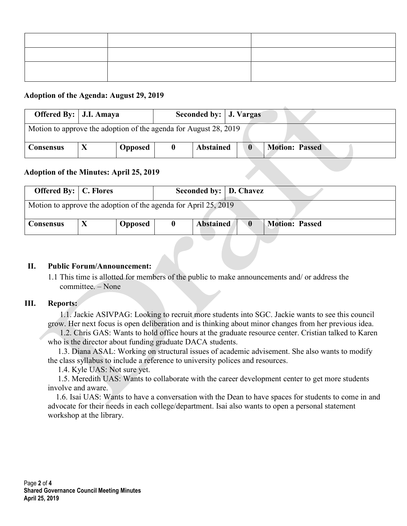## Adoption of the Agenda: August 29, 2019

|                                                                  | Offered By:   J.I. Amaya<br>Seconded by:   J. Vargas |                |  |                  |             |                       |  |  |
|------------------------------------------------------------------|------------------------------------------------------|----------------|--|------------------|-------------|-----------------------|--|--|
| Motion to approve the adoption of the agenda for August 28, 2019 |                                                      |                |  |                  |             |                       |  |  |
| <b>Consensus</b>                                                 |                                                      | <b>Opposed</b> |  | <b>Abstained</b> | $\mathbf 0$ | <b>Motion: Passed</b> |  |  |

## Adoption of the Minutes: April 25, 2019

| <b>Offered By:</b>   C. Flores                                  |  |                |  | Seconded by:   D. Chavez |  |                       |  |  |
|-----------------------------------------------------------------|--|----------------|--|--------------------------|--|-----------------------|--|--|
| Motion to approve the adoption of the agenda for April 25, 2019 |  |                |  |                          |  |                       |  |  |
| <b>Consensus</b>                                                |  | <b>Opposed</b> |  | <b>Abstained</b>         |  | <b>Motion: Passed</b> |  |  |

### II. Public Forum/Announcement:

1.1 This time is allotted for members of the public to make announcements and/ or address the committee. – None

#### III. Reports:

 1.1. Jackie ASIVPAG: Looking to recruit more students into SGC. Jackie wants to see this council grow. Her next focus is open deliberation and is thinking about minor changes from her previous idea.

 1.2. Chris GAS: Wants to hold office hours at the graduate resource center. Cristian talked to Karen who is the director about funding graduate DACA students.

 1.3. Diana ASAL: Working on structural issues of academic advisement. She also wants to modify the class syllabus to include a reference to university polices and resources.

1.4. Kyle UAS: Not sure yet.

 1.5. Meredith UAS: Wants to collaborate with the career development center to get more students involve and aware.

 1.6. Isai UAS: Wants to have a conversation with the Dean to have spaces for students to come in and advocate for their needs in each college/department. Isai also wants to open a personal statement workshop at the library.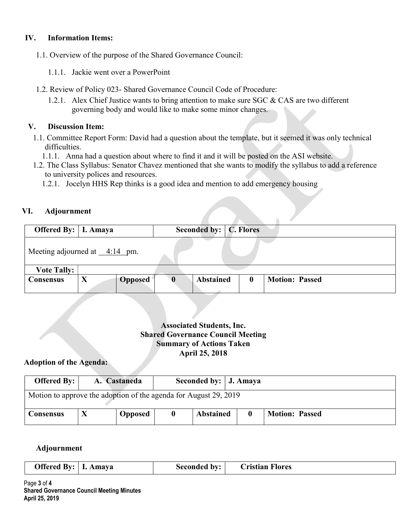## IV. Information Items:

- 1.1. Overview of the purpose of the Shared Governance Council:
	- 1.1.1. Jackie went over a PowerPoint
- 1.2. Review of Policy 023- Shared Governance Council Code of Procedure:
	- 1.2.1. Alex Chief Justice wants to bring attention to make sure SGC & CAS are two different governing body and would like to make some minor changes.

### V. Discussion Item:

- 1.1. Committee Report Form: David had a question about the template, but it seemed it was only technical difficulties.
	- 1.1.1. Anna had a question about where to find it and it will be posted on the ASI website.
- 1.2. The Class Syllabus: Senator Chavez mentioned that she wants to modify the syllabus to add a reference to university polices and resources.
	- 1.2.1. Jocelyn HHS Rep thinks is a good idea and mention to add emergency housing

## VI. Adjournment

| Offered By:   I. Amaya              |             |                |   | Seconded by:   C. Flores |          |                       |  |
|-------------------------------------|-------------|----------------|---|--------------------------|----------|-----------------------|--|
| Meeting adjourned at $\_\_4:14$ pm. |             |                |   |                          |          |                       |  |
| <b>Vote Tally:</b>                  |             |                |   |                          |          |                       |  |
| <b>Consensus</b>                    | $\mathbf X$ | <b>Opposed</b> | 0 | <b>Abstained</b>         | $\bf{0}$ | <b>Motion: Passed</b> |  |

## Associated Students, Inc. Shared Governance Council Meeting Summary of Actions Taken April 25, 2018

### Adoption of the Agenda:

| Offered By: $\vert$<br>Seconded by:   J. Amaya<br>A. Castaneda   |  |                |  |                  |  |                       |  |  |
|------------------------------------------------------------------|--|----------------|--|------------------|--|-----------------------|--|--|
| Motion to approve the adoption of the agenda for August 29, 2019 |  |                |  |                  |  |                       |  |  |
| <b>Consensus</b>                                                 |  | <b>Opposed</b> |  | <b>Abstained</b> |  | <b>Motion: Passed</b> |  |  |

#### Adjournment

| Offered By:   I. Amaya | Seconded by: | <b>Cristian Flores</b> |  |
|------------------------|--------------|------------------------|--|